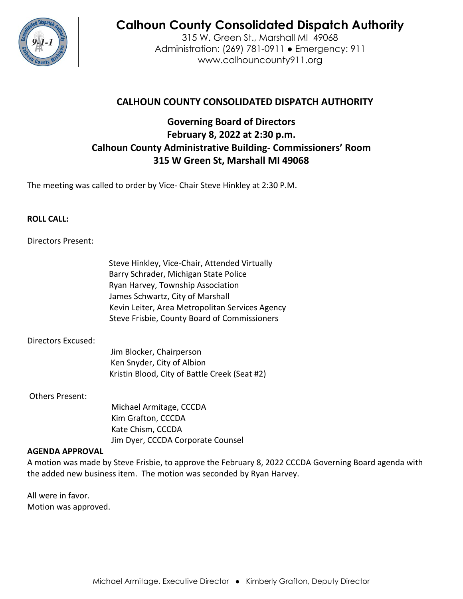

# **Calhoun County Consolidated Dispatch Authority**

315 W. Green St., Marshall MI 49068 Administration: (269) 781-0911 ● Emergency: 911 www.calhouncounty911.org

## **CALHOUN COUNTY CONSOLIDATED DISPATCH AUTHORITY**

## **Governing Board of Directors February 8, 2022 at 2:30 p.m. Calhoun County Administrative Building- Commissioners' Room 315 W Green St, Marshall MI 49068**

The meeting was called to order by Vice- Chair Steve Hinkley at 2:30 P.M.

#### **ROLL CALL:**

#### Directors Present:

Steve Hinkley, Vice-Chair, Attended Virtually Barry Schrader, Michigan State Police Ryan Harvey, Township Association James Schwartz, City of Marshall Kevin Leiter, Area Metropolitan Services Agency Steve Frisbie, County Board of Commissioners

#### Directors Excused:

Jim Blocker, Chairperson Ken Snyder, City of Albion Kristin Blood, City of Battle Creek (Seat #2)

Others Present:

 Michael Armitage, CCCDA Kim Grafton, CCCDA Kate Chism, CCCDA Jim Dyer, CCCDA Corporate Counsel

#### **AGENDA APPROVAL**

A motion was made by Steve Frisbie, to approve the February 8, 2022 CCCDA Governing Board agenda with the added new business item. The motion was seconded by Ryan Harvey.

All were in favor. Motion was approved.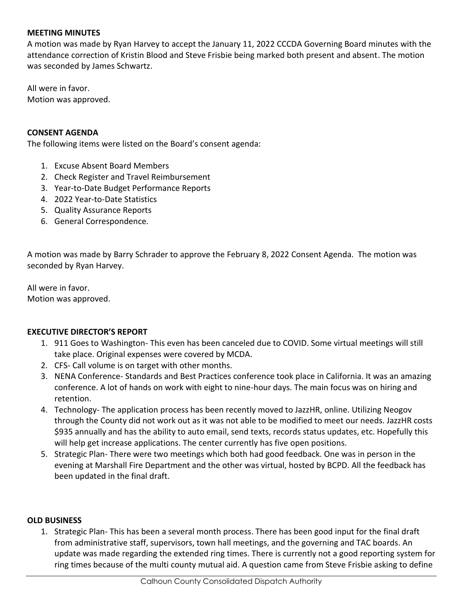#### **MEETING MINUTES**

A motion was made by Ryan Harvey to accept the January 11, 2022 CCCDA Governing Board minutes with the attendance correction of Kristin Blood and Steve Frisbie being marked both present and absent. The motion was seconded by James Schwartz.

All were in favor. Motion was approved.

#### **CONSENT AGENDA**

The following items were listed on the Board's consent agenda:

- 1. Excuse Absent Board Members
- 2. Check Register and Travel Reimbursement
- 3. Year-to-Date Budget Performance Reports
- 4. 2022 Year-to-Date Statistics
- 5. Quality Assurance Reports
- 6. General Correspondence.

A motion was made by Barry Schrader to approve the February 8, 2022 Consent Agenda. The motion was seconded by Ryan Harvey.

All were in favor. Motion was approved.

#### **EXECUTIVE DIRECTOR'S REPORT**

- 1. 911 Goes to Washington- This even has been canceled due to COVID. Some virtual meetings will still take place. Original expenses were covered by MCDA.
- 2. CFS- Call volume is on target with other months.
- 3. NENA Conference- Standards and Best Practices conference took place in California. It was an amazing conference. A lot of hands on work with eight to nine-hour days. The main focus was on hiring and retention.
- 4. Technology- The application process has been recently moved to JazzHR, online. Utilizing Neogov through the County did not work out as it was not able to be modified to meet our needs. JazzHR costs \$935 annually and has the ability to auto email, send texts, records status updates, etc. Hopefully this will help get increase applications. The center currently has five open positions.
- 5. Strategic Plan- There were two meetings which both had good feedback. One was in person in the evening at Marshall Fire Department and the other was virtual, hosted by BCPD. All the feedback has been updated in the final draft.

#### **OLD BUSINESS**

1. Strategic Plan- This has been a several month process. There has been good input for the final draft from administrative staff, supervisors, town hall meetings, and the governing and TAC boards. An update was made regarding the extended ring times. There is currently not a good reporting system for ring times because of the multi county mutual aid. A question came from Steve Frisbie asking to define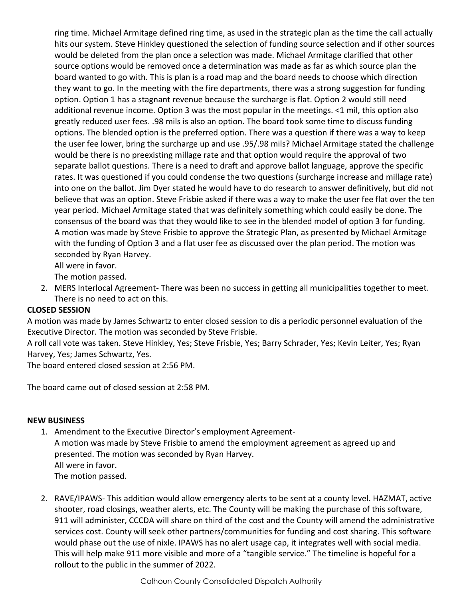ring time. Michael Armitage defined ring time, as used in the strategic plan as the time the call actually hits our system. Steve Hinkley questioned the selection of funding source selection and if other sources would be deleted from the plan once a selection was made. Michael Armitage clarified that other source options would be removed once a determination was made as far as which source plan the board wanted to go with. This is plan is a road map and the board needs to choose which direction they want to go. In the meeting with the fire departments, there was a strong suggestion for funding option. Option 1 has a stagnant revenue because the surcharge is flat. Option 2 would still need additional revenue income. Option 3 was the most popular in the meetings. <1 mil, this option also greatly reduced user fees. .98 mils is also an option. The board took some time to discuss funding options. The blended option is the preferred option. There was a question if there was a way to keep the user fee lower, bring the surcharge up and use .95/.98 mils? Michael Armitage stated the challenge would be there is no preexisting millage rate and that option would require the approval of two separate ballot questions. There is a need to draft and approve ballot language, approve the specific rates. It was questioned if you could condense the two questions (surcharge increase and millage rate) into one on the ballot. Jim Dyer stated he would have to do research to answer definitively, but did not believe that was an option. Steve Frisbie asked if there was a way to make the user fee flat over the ten year period. Michael Armitage stated that was definitely something which could easily be done. The consensus of the board was that they would like to see in the blended model of option 3 for funding. A motion was made by Steve Frisbie to approve the Strategic Plan, as presented by Michael Armitage with the funding of Option 3 and a flat user fee as discussed over the plan period. The motion was seconded by Ryan Harvey.

All were in favor.

The motion passed.

2. MERS Interlocal Agreement- There was been no success in getting all municipalities together to meet. There is no need to act on this.

#### **CLOSED SESSION**

A motion was made by James Schwartz to enter closed session to dis a periodic personnel evaluation of the Executive Director. The motion was seconded by Steve Frisbie.

A roll call vote was taken. Steve Hinkley, Yes; Steve Frisbie, Yes; Barry Schrader, Yes; Kevin Leiter, Yes; Ryan Harvey, Yes; James Schwartz, Yes.

The board entered closed session at 2:56 PM.

The board came out of closed session at 2:58 PM.

#### **NEW BUSINESS**

- 1. Amendment to the Executive Director's employment Agreement-A motion was made by Steve Frisbie to amend the employment agreement as agreed up and presented. The motion was seconded by Ryan Harvey. All were in favor. The motion passed.
- 2. RAVE/IPAWS- This addition would allow emergency alerts to be sent at a county level. HAZMAT, active shooter, road closings, weather alerts, etc. The County will be making the purchase of this software, 911 will administer, CCCDA will share on third of the cost and the County will amend the administrative services cost. County will seek other partners/communities for funding and cost sharing. This software would phase out the use of nixle. IPAWS has no alert usage cap, it integrates well with social media. This will help make 911 more visible and more of a "tangible service." The timeline is hopeful for a rollout to the public in the summer of 2022.